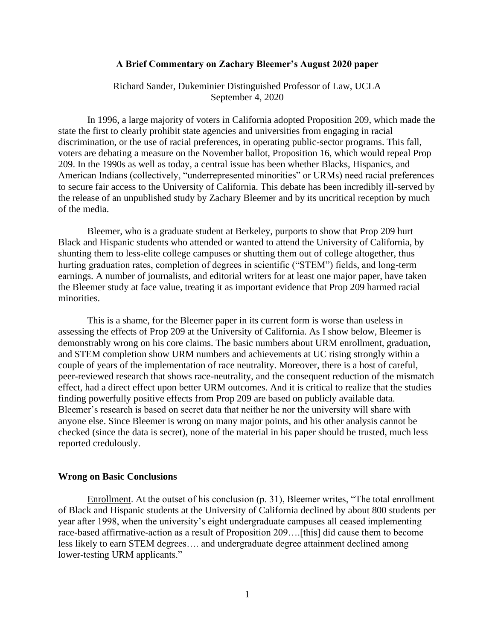## **A Brief Commentary on Zachary Bleemer's August 2020 paper**

Richard Sander, Dukeminier Distinguished Professor of Law, UCLA September 4, 2020

In 1996, a large majority of voters in California adopted Proposition 209, which made the state the first to clearly prohibit state agencies and universities from engaging in racial discrimination, or the use of racial preferences, in operating public-sector programs. This fall, voters are debating a measure on the November ballot, Proposition 16, which would repeal Prop 209. In the 1990s as well as today, a central issue has been whether Blacks, Hispanics, and American Indians (collectively, "underrepresented minorities" or URMs) need racial preferences to secure fair access to the University of California. This debate has been incredibly ill-served by the release of an unpublished study by Zachary Bleemer and by its uncritical reception by much of the media.

Bleemer, who is a graduate student at Berkeley, purports to show that Prop 209 hurt Black and Hispanic students who attended or wanted to attend the University of California, by shunting them to less-elite college campuses or shutting them out of college altogether, thus hurting graduation rates, completion of degrees in scientific ("STEM") fields, and long-term earnings. A number of journalists, and editorial writers for at least one major paper, have taken the Bleemer study at face value, treating it as important evidence that Prop 209 harmed racial minorities.

This is a shame, for the Bleemer paper in its current form is worse than useless in assessing the effects of Prop 209 at the University of California. As I show below, Bleemer is demonstrably wrong on his core claims. The basic numbers about URM enrollment, graduation, and STEM completion show URM numbers and achievements at UC rising strongly within a couple of years of the implementation of race neutrality. Moreover, there is a host of careful, peer-reviewed research that shows race-neutrality, and the consequent reduction of the mismatch effect, had a direct effect upon better URM outcomes. And it is critical to realize that the studies finding powerfully positive effects from Prop 209 are based on publicly available data. Bleemer's research is based on secret data that neither he nor the university will share with anyone else. Since Bleemer is wrong on many major points, and his other analysis cannot be checked (since the data is secret), none of the material in his paper should be trusted, much less reported credulously.

#### **Wrong on Basic Conclusions**

Enrollment. At the outset of his conclusion (p. 31), Bleemer writes, "The total enrollment of Black and Hispanic students at the University of California declined by about 800 students per year after 1998, when the university's eight undergraduate campuses all ceased implementing race-based affirmative-action as a result of Proposition 209….[this] did cause them to become less likely to earn STEM degrees…. and undergraduate degree attainment declined among lower-testing URM applicants."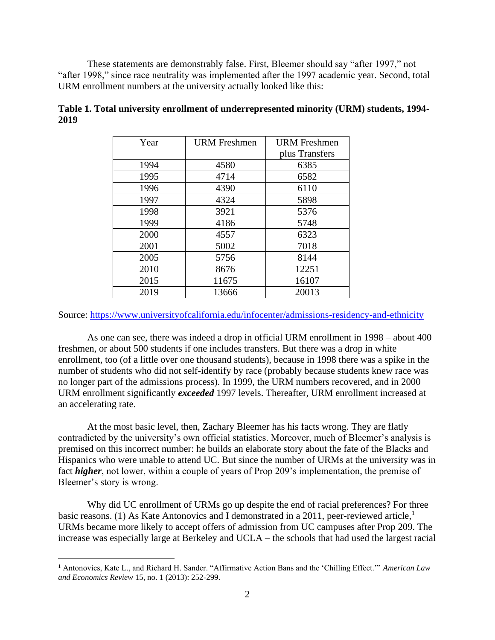These statements are demonstrably false. First, Bleemer should say "after 1997," not "after 1998," since race neutrality was implemented after the 1997 academic year. Second, total URM enrollment numbers at the university actually looked like this:

| Year | <b>URM</b> Freshmen | <b>URM</b> Freshmen |
|------|---------------------|---------------------|
|      |                     | plus Transfers      |
| 1994 | 4580                | 6385                |
| 1995 | 4714                | 6582                |
| 1996 | 4390                | 6110                |
| 1997 | 4324                | 5898                |
| 1998 | 3921                | 5376                |
| 1999 | 4186                | 5748                |
| 2000 | 4557                | 6323                |
| 2001 | 5002                | 7018                |
| 2005 | 5756                | 8144                |
| 2010 | 8676                | 12251               |
| 2015 | 11675               | 16107               |
| 2019 | 13666               | 20013               |

**Table 1. Total university enrollment of underrepresented minority (URM) students, 1994- 2019**

Source:<https://www.universityofcalifornia.edu/infocenter/admissions-residency-and-ethnicity>

As one can see, there was indeed a drop in official URM enrollment in 1998 – about 400 freshmen, or about 500 students if one includes transfers. But there was a drop in white enrollment, too (of a little over one thousand students), because in 1998 there was a spike in the number of students who did not self-identify by race (probably because students knew race was no longer part of the admissions process). In 1999, the URM numbers recovered, and in 2000 URM enrollment significantly *exceeded* 1997 levels. Thereafter, URM enrollment increased at an accelerating rate.

At the most basic level, then, Zachary Bleemer has his facts wrong. They are flatly contradicted by the university's own official statistics. Moreover, much of Bleemer's analysis is premised on this incorrect number: he builds an elaborate story about the fate of the Blacks and Hispanics who were unable to attend UC. But since the number of URMs at the university was in fact *higher*, not lower, within a couple of years of Prop 209's implementation, the premise of Bleemer's story is wrong.

Why did UC enrollment of URMs go up despite the end of racial preferences? For three basic reasons. (1) As Kate Antonovics and I demonstrated in a 2011, peer-reviewed article,<sup>1</sup> URMs became more likely to accept offers of admission from UC campuses after Prop 209. The increase was especially large at Berkeley and UCLA – the schools that had used the largest racial

<sup>1</sup> Antonovics, Kate L., and Richard H. Sander. "Affirmative Action Bans and the 'Chilling Effect.'" *American Law and Economics Review* 15, no. 1 (2013): 252-299.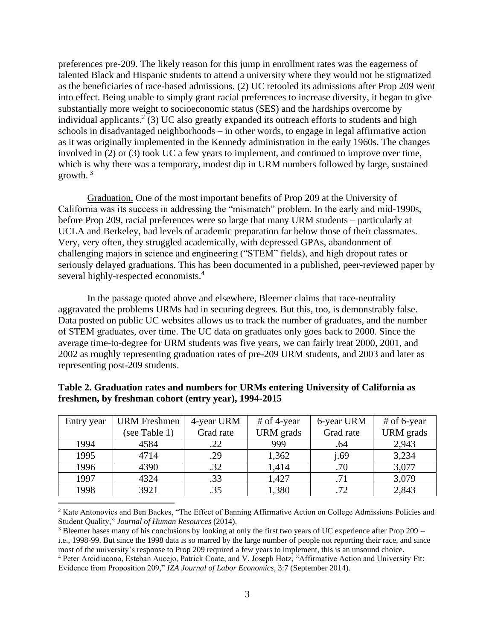preferences pre-209. The likely reason for this jump in enrollment rates was the eagerness of talented Black and Hispanic students to attend a university where they would not be stigmatized as the beneficiaries of race-based admissions. (2) UC retooled its admissions after Prop 209 went into effect. Being unable to simply grant racial preferences to increase diversity, it began to give substantially more weight to socioeconomic status (SES) and the hardships overcome by individual applicants.<sup>2</sup> (3) UC also greatly expanded its outreach efforts to students and high schools in disadvantaged neighborhoods – in other words, to engage in legal affirmative action as it was originally implemented in the Kennedy administration in the early 1960s. The changes involved in (2) or (3) took UC a few years to implement, and continued to improve over time, which is why there was a temporary, modest dip in URM numbers followed by large, sustained growth. <sup>3</sup>

Graduation. One of the most important benefits of Prop 209 at the University of California was its success in addressing the "mismatch" problem. In the early and mid-1990s, before Prop 209, racial preferences were so large that many URM students – particularly at UCLA and Berkeley, had levels of academic preparation far below those of their classmates. Very, very often, they struggled academically, with depressed GPAs, abandonment of challenging majors in science and engineering ("STEM" fields), and high dropout rates or seriously delayed graduations. This has been documented in a published, peer-reviewed paper by several highly-respected economists.<sup>4</sup>

In the passage quoted above and elsewhere, Bleemer claims that race-neutrality aggravated the problems URMs had in securing degrees. But this, too, is demonstrably false. Data posted on public UC websites allows us to track the number of graduates, and the number of STEM graduates, over time. The UC data on graduates only goes back to 2000. Since the average time-to-degree for URM students was five years, we can fairly treat 2000, 2001, and 2002 as roughly representing graduation rates of pre-209 URM students, and 2003 and later as representing post-209 students.

| Entry year | <b>URM</b> Freshmen | 4-year URM | # of 4-year | 6-year URM | # of 6-year |
|------------|---------------------|------------|-------------|------------|-------------|
|            | (see Table 1)       | Grad rate  | URM grads   | Grad rate  | URM grads   |
| 1994       | 4584                | .22        | 999         | .64        | 2,943       |
| 1995       | 4714                | .29        | 1,362       | i.69       | 3,234       |
| 1996       | 4390                | .32        | 1,414       | .70        | 3,077       |
| 1997       | 4324                | .33        | 1,427       | .71        | 3,079       |
| 1998       | 3921                | .35        | 1,380       | .72        | 2,843       |

**Table 2. Graduation rates and numbers for URMs entering University of California as freshmen, by freshman cohort (entry year), 1994-2015**

<sup>2</sup> Kate Antonovics and Ben Backes, "The Effect of Banning Affirmative Action on College Admissions Policies and Student Quality," *Journal of Human Resources* (2014).

 $3$  Bleemer bases many of his conclusions by looking at only the first two years of UC experience after Prop 209 – i.e., 1998-99. But since the 1998 data is so marred by the large number of people not reporting their race, and since most of the university's response to Prop 209 required a few years to implement, this is an unsound choice. <sup>4</sup> Peter Arcidiacono, Esteban Aucejo, Patrick Coate, and V. Joseph Hotz, "Affirmative Action and University Fit: Evidence from Proposition 209," *IZA Journal of Labor Economics*, 3:7 (September 2014).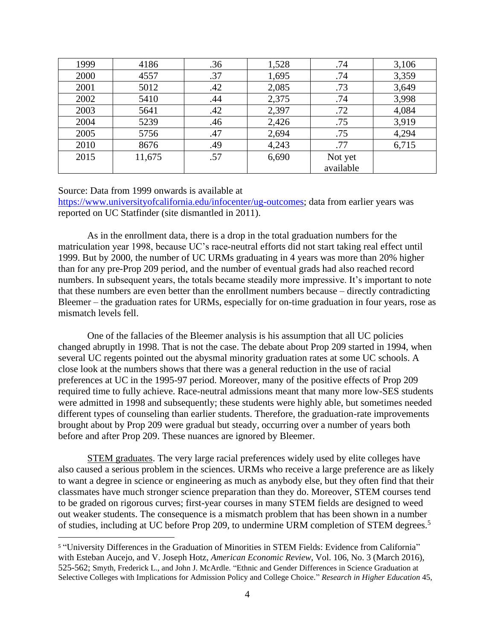| 1999 | 4186   | .36 | 1,528 | .74       | 3,106 |
|------|--------|-----|-------|-----------|-------|
| 2000 | 4557   | .37 | 1,695 | .74       | 3,359 |
| 2001 | 5012   | .42 | 2,085 | .73       | 3,649 |
| 2002 | 5410   | .44 | 2,375 | .74       | 3,998 |
| 2003 | 5641   | .42 | 2,397 | .72       | 4,084 |
| 2004 | 5239   | .46 | 2,426 | .75       | 3,919 |
| 2005 | 5756   | .47 | 2,694 | .75       | 4,294 |
| 2010 | 8676   | .49 | 4,243 | .77       | 6,715 |
| 2015 | 11,675 | .57 | 6,690 | Not yet   |       |
|      |        |     |       | available |       |

### Source: Data from 1999 onwards is available at

[https://www.universityofcalifornia.edu/infocenter/ug-outcomes;](https://www.universityofcalifornia.edu/infocenter/ug-outcomes) data from earlier years was reported on UC Statfinder (site dismantled in 2011).

As in the enrollment data, there is a drop in the total graduation numbers for the matriculation year 1998, because UC's race-neutral efforts did not start taking real effect until 1999. But by 2000, the number of UC URMs graduating in 4 years was more than 20% higher than for any pre-Prop 209 period, and the number of eventual grads had also reached record numbers. In subsequent years, the totals became steadily more impressive. It's important to note that these numbers are even better than the enrollment numbers because – directly contradicting Bleemer – the graduation rates for URMs, especially for on-time graduation in four years, rose as mismatch levels fell.

One of the fallacies of the Bleemer analysis is his assumption that all UC policies changed abruptly in 1998. That is not the case. The debate about Prop 209 started in 1994, when several UC regents pointed out the abysmal minority graduation rates at some UC schools. A close look at the numbers shows that there was a general reduction in the use of racial preferences at UC in the 1995-97 period. Moreover, many of the positive effects of Prop 209 required time to fully achieve. Race-neutral admissions meant that many more low-SES students were admitted in 1998 and subsequently; these students were highly able, but sometimes needed different types of counseling than earlier students. Therefore, the graduation-rate improvements brought about by Prop 209 were gradual but steady, occurring over a number of years both before and after Prop 209. These nuances are ignored by Bleemer.

STEM graduates. The very large racial preferences widely used by elite colleges have also caused a serious problem in the sciences. URMs who receive a large preference are as likely to want a degree in science or engineering as much as anybody else, but they often find that their classmates have much stronger science preparation than they do. Moreover, STEM courses tend to be graded on rigorous curves; first-year courses in many STEM fields are designed to weed out weaker students. The consequence is a mismatch problem that has been shown in a number of studies, including at UC before Prop 209, to undermine URM completion of STEM degrees.<sup>5</sup>

<sup>5</sup> "University Differences in the Graduation of Minorities in STEM Fields: Evidence from California" with Esteban Aucejo, and V. Joseph Hotz, *American Economic Review*, Vol. 106, No. 3 (March 2016), 525-562; Smyth, Frederick L., and John J. McArdle. "Ethnic and Gender Differences in Science Graduation at Selective Colleges with Implications for Admission Policy and College Choice." *Research in Higher Education* 45,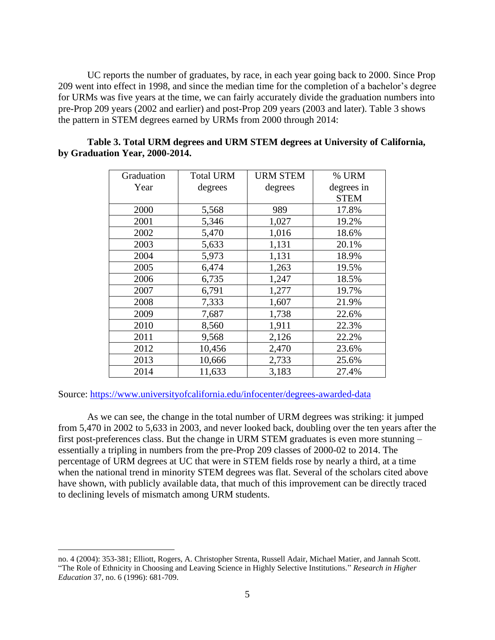UC reports the number of graduates, by race, in each year going back to 2000. Since Prop 209 went into effect in 1998, and since the median time for the completion of a bachelor's degree for URMs was five years at the time, we can fairly accurately divide the graduation numbers into pre-Prop 209 years (2002 and earlier) and post-Prop 209 years (2003 and later). Table 3 shows the pattern in STEM degrees earned by URMs from 2000 through 2014:

| Graduation | <b>Total URM</b> | <b>URM STEM</b> | % URM       |
|------------|------------------|-----------------|-------------|
| Year       | degrees          | degrees         | degrees in  |
|            |                  |                 | <b>STEM</b> |
| 2000       | 5,568            | 989             | 17.8%       |
| 2001       | 5,346            | 1,027           | 19.2%       |
| 2002       | 5,470            | 1,016           | 18.6%       |
| 2003       | 5,633            | 1,131           | 20.1%       |
| 2004       | 5,973            | 1,131           | 18.9%       |
| 2005       | 6,474            | 1,263           | 19.5%       |
| 2006       | 6,735            | 1,247           | 18.5%       |
| 2007       | 6,791            | 1,277           | 19.7%       |
| 2008       | 7,333            | 1,607           | 21.9%       |
| 2009       | 7,687            | 1,738           | 22.6%       |
| 2010       | 8,560            | 1,911           | 22.3%       |
| 2011       | 9,568            | 2,126           | 22.2%       |
| 2012       | 10,456           | 2,470           | 23.6%       |
| 2013       | 10,666           | 2,733           | 25.6%       |
| 2014       | 11,633           | 3,183           | 27.4%       |

# **Table 3. Total URM degrees and URM STEM degrees at University of California, by Graduation Year, 2000-2014.**

# Source:<https://www.universityofcalifornia.edu/infocenter/degrees-awarded-data>

As we can see, the change in the total number of URM degrees was striking: it jumped from 5,470 in 2002 to 5,633 in 2003, and never looked back, doubling over the ten years after the first post-preferences class. But the change in URM STEM graduates is even more stunning – essentially a tripling in numbers from the pre-Prop 209 classes of 2000-02 to 2014. The percentage of URM degrees at UC that were in STEM fields rose by nearly a third, at a time when the national trend in minority STEM degrees was flat. Several of the scholars cited above have shown, with publicly available data, that much of this improvement can be directly traced to declining levels of mismatch among URM students.

no. 4 (2004): 353-381; Elliott, Rogers, A. Christopher Strenta, Russell Adair, Michael Matier, and Jannah Scott. "The Role of Ethnicity in Choosing and Leaving Science in Highly Selective Institutions." *Research in Higher Education* 37, no. 6 (1996): 681-709.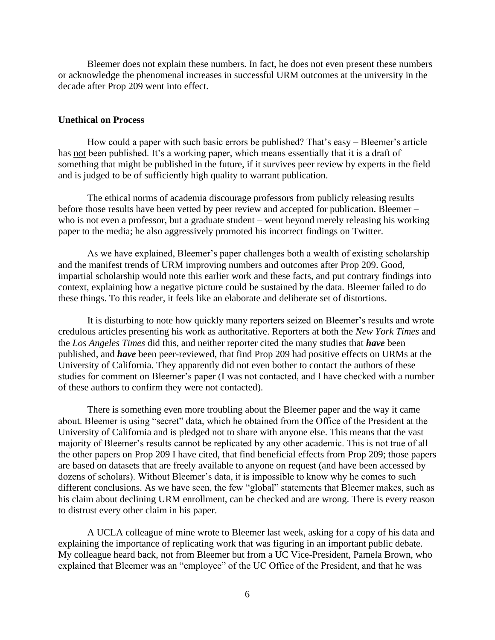Bleemer does not explain these numbers. In fact, he does not even present these numbers or acknowledge the phenomenal increases in successful URM outcomes at the university in the decade after Prop 209 went into effect.

## **Unethical on Process**

How could a paper with such basic errors be published? That's easy – Bleemer's article has not been published. It's a working paper, which means essentially that it is a draft of something that might be published in the future, if it survives peer review by experts in the field and is judged to be of sufficiently high quality to warrant publication.

The ethical norms of academia discourage professors from publicly releasing results before those results have been vetted by peer review and accepted for publication. Bleemer – who is not even a professor, but a graduate student – went beyond merely releasing his working paper to the media; he also aggressively promoted his incorrect findings on Twitter.

As we have explained, Bleemer's paper challenges both a wealth of existing scholarship and the manifest trends of URM improving numbers and outcomes after Prop 209. Good, impartial scholarship would note this earlier work and these facts, and put contrary findings into context, explaining how a negative picture could be sustained by the data. Bleemer failed to do these things. To this reader, it feels like an elaborate and deliberate set of distortions.

It is disturbing to note how quickly many reporters seized on Bleemer's results and wrote credulous articles presenting his work as authoritative. Reporters at both the *New York Times* and the *Los Angeles Times* did this, and neither reporter cited the many studies that *have* been published, and *have* been peer-reviewed, that find Prop 209 had positive effects on URMs at the University of California. They apparently did not even bother to contact the authors of these studies for comment on Bleemer's paper (I was not contacted, and I have checked with a number of these authors to confirm they were not contacted).

There is something even more troubling about the Bleemer paper and the way it came about. Bleemer is using "secret" data, which he obtained from the Office of the President at the University of California and is pledged not to share with anyone else. This means that the vast majority of Bleemer's results cannot be replicated by any other academic. This is not true of all the other papers on Prop 209 I have cited, that find beneficial effects from Prop 209; those papers are based on datasets that are freely available to anyone on request (and have been accessed by dozens of scholars). Without Bleemer's data, it is impossible to know why he comes to such different conclusions. As we have seen, the few "global" statements that Bleemer makes, such as his claim about declining URM enrollment, can be checked and are wrong. There is every reason to distrust every other claim in his paper.

A UCLA colleague of mine wrote to Bleemer last week, asking for a copy of his data and explaining the importance of replicating work that was figuring in an important public debate. My colleague heard back, not from Bleemer but from a UC Vice-President, Pamela Brown, who explained that Bleemer was an "employee" of the UC Office of the President, and that he was